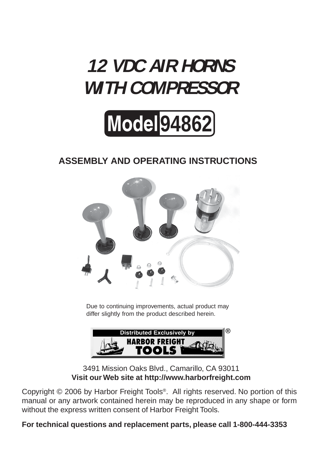# **12 VDC AIR HORNS WITH COMPRESSOR**



## **ASSEMBLY AND OPERATING INSTRUCTIONS**



Due to continuing improvements, actual product may differ slightly from the product described herein.



3491 Mission Oaks Blvd., Camarillo, CA 93011 **Visit our Web site at http://www.harborfreight.com**

Copyright © 2006 by Harbor Freight Tools®. All rights reserved. No portion of this manual or any artwork contained herein may be reproduced in any shape or form without the express written consent of Harbor Freight Tools.

**For technical questions and replacement parts, please call 1-800-444-3353**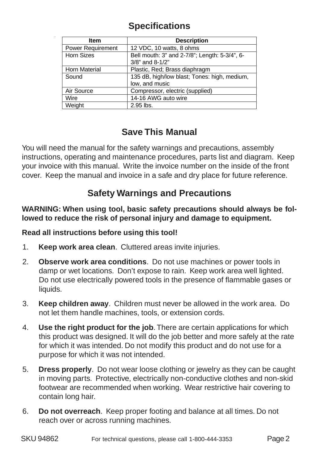### **Specifications**

| <b>Item</b>              | <b>Description</b>                            |  |
|--------------------------|-----------------------------------------------|--|
| <b>Power Requirement</b> | 12 VDC, 10 watts, 8 ohms                      |  |
| <b>Horn Sizes</b>        | Bell mouth: 3" and 2-7/8"; Length: 5-3/4", 6- |  |
|                          | 3/8" and 8-1/2"                               |  |
| <b>Horn Material</b>     | Plastic, Red; Brass diaphragm                 |  |
| Sound                    | 135 dB, high/low blast; Tones: high, medium,  |  |
|                          | low, and music                                |  |
| Air Source               | Compressor, electric (supplied)               |  |
| Wire                     | 14-16 AWG auto wire                           |  |
| Weight                   | 2.95 lbs.                                     |  |

#### **Save This Manual**

You will need the manual for the safety warnings and precautions, assembly instructions, operating and maintenance procedures, parts list and diagram. Keep your invoice with this manual. Write the invoice number on the inside of the front cover. Keep the manual and invoice in a safe and dry place for future reference.

## **Safety Warnings and Precautions**

#### **WARNING: When using tool, basic safety precautions should always be followed to reduce the risk of personal injury and damage to equipment.**

#### **Read all instructions before using this tool!**

- 1. **Keep work area clean**. Cluttered areas invite injuries.
- 2. **Observe work area conditions**. Do not use machines or power tools in damp or wet locations. Don't expose to rain. Keep work area well lighted. Do not use electrically powered tools in the presence of flammable gases or liquids.
- 3. **Keep children away**. Children must never be allowed in the work area. Do not let them handle machines, tools, or extension cords.
- 4. **Use the right product for the job**. There are certain applications for which this product was designed. It will do the job better and more safely at the rate for which it was intended. Do not modify this product and do not use for a purpose for which it was not intended.
- 5. **Dress properly**. Do not wear loose clothing or jewelry as they can be caught in moving parts. Protective, electrically non-conductive clothes and non-skid footwear are recommended when working. Wear restrictive hair covering to contain long hair.
- 6. **Do not overreach**. Keep proper footing and balance at all times. Do not reach over or across running machines.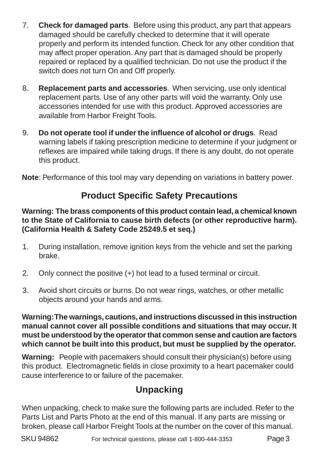- 7. **Check for damaged parts**. Before using this product, any part that appears damaged should be carefully checked to determine that it will operate properly and perform its intended function. Check for any other condition that may affect proper operation. Any part that is damaged should be properly repaired or replaced by a qualified technician. Do not use the product if the switch does not turn On and Off properly.
- 8. **Replacement parts and accessories**. When servicing, use only identical replacement parts. Use of any other parts will void the warranty. Only use accessories intended for use with this product. Approved accessories are available from Harbor Freight Tools.
- 9. **Do not operate tool if under the influence of alcohol or drugs**. Read warning labels if taking prescription medicine to determine if your judgment or reflexes are impaired while taking drugs. If there is any doubt, do not operate this product.

**Note**: Performance of this tool may vary depending on variations in battery power.

## **Product Specific Safety Precautions**

#### **Warning: The brass components of this product contain lead, a chemical known to the State of California to cause birth defects (or other reproductive harm). (California Health & Safety Code 25249.5 et seq.)**

- 1. During installation, remove ignition keys from the vehicle and set the parking brake.
- 2. Only connect the positive (+) hot lead to a fused terminal or circuit.
- 3. Avoid short circuits or burns. Do not wear rings, watches, or other metallic objects around your hands and arms.

**Warning: The warnings, cautions, and instructions discussed in this instruction manual cannot cover all possible conditions and situations that may occur. It must be understood by the operator that common sense and caution are factors which cannot be built into this product, but must be supplied by the operator.**

**Warning:** People with pacemakers should consult their physician(s) before using this product. Electromagnetic fields in close proximity to a heart pacemaker could cause interference to or failure of the pacemaker.

## **Unpacking**

When unpacking, check to make sure the following parts are included. Refer to the Parts List and Parts Photo at the end of this manual. If any parts are missing or broken, please call Harbor Freight Tools at the number on the cover of this manual.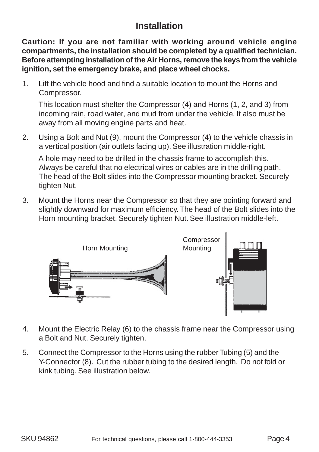## **Installation**

**Caution: If you are not familiar with working around vehicle engine compartments, the installation should be completed by a qualified technician. Before attempting installation of the Air Horns, remove the keys from the vehicle ignition, set the emergency brake, and place wheel chocks.**

1. Lift the vehicle hood and find a suitable location to mount the Horns and Compressor.

This location must shelter the Compressor (4) and Horns (1, 2, and 3) from incoming rain, road water, and mud from under the vehicle. It also must be away from all moving engine parts and heat.

2. Using a Bolt and Nut (9), mount the Compressor (4) to the vehicle chassis in a vertical position (air outlets facing up). See illustration middle-right.

A hole may need to be drilled in the chassis frame to accomplish this. Always be careful that no electrical wires or cables are in the drilling path. The head of the Bolt slides into the Compressor mounting bracket. Securely tighten Nut.

3. Mount the Horns near the Compressor so that they are pointing forward and slightly downward for maximum efficiency. The head of the Bolt slides into the Horn mounting bracket. Securely tighten Nut. See illustration middle-left.



- 4. Mount the Electric Relay (6) to the chassis frame near the Compressor using a Bolt and Nut. Securely tighten.
- 5. Connect the Compressor to the Horns using the rubber Tubing (5) and the Y-Connector (8). Cut the rubber tubing to the desired length. Do not fold or kink tubing. See illustration below.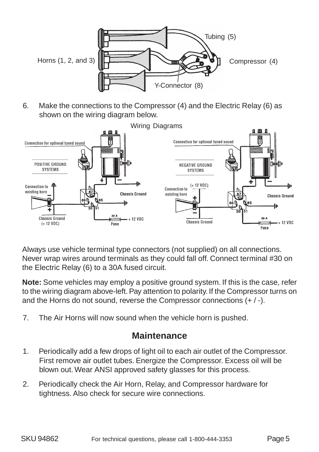

6. Make the connections to the Compressor (4) and the Electric Relay (6) as shown on the wiring diagram below.



Always use vehicle terminal type connectors (not supplied) on all connections. Never wrap wires around terminals as they could fall off. Connect terminal #30 on the Electric Relay (6) to a 30A fused circuit.

**Note:** Some vehicles may employ a positive ground system. If this is the case, refer to the wiring diagram above-left. Pay attention to polarity. If the Compressor turns on and the Horns do not sound, reverse the Compressor connections (+ / -).

7. The Air Horns will now sound when the vehicle horn is pushed.

#### **Maintenance**

- 1. Periodically add a few drops of light oil to each air outlet of the Compressor. First remove air outlet tubes. Energize the Compressor. Excess oil will be blown out. Wear ANSI approved safety glasses for this process.
- 2. Periodically check the Air Horn, Relay, and Compressor hardware for tightness. Also check for secure wire connections.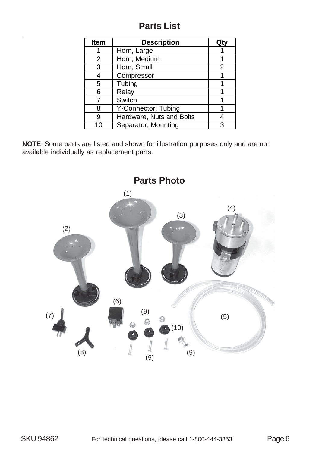#### **Parts List**

| <b>Item</b> | <b>Description</b>       | Qt۱ |
|-------------|--------------------------|-----|
|             | Horn, Large              |     |
| 2           | Horn, Medium             |     |
| 3           | Horn, Small              | 2   |
| 4           | Compressor               |     |
| 5           | Tubing                   |     |
| 6           | Relay                    |     |
|             | Switch                   |     |
| 8           | Y-Connector, Tubing      |     |
| 9           | Hardware, Nuts and Bolts |     |
| 10          | Separator, Mounting      | 3   |

**NOTE**: Some parts are listed and shown for illustration purposes only and are not available individually as replacement parts.